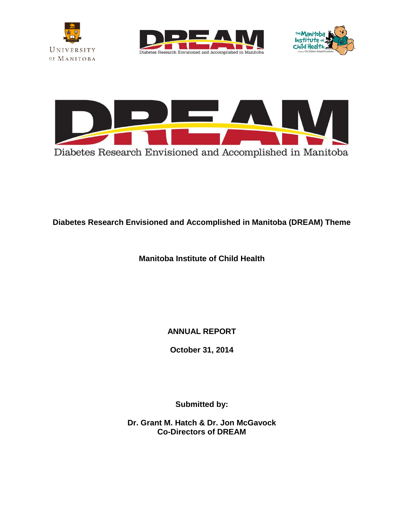







**Diabetes Research Envisioned and Accomplished in Manitoba (DREAM) Theme** 

**Manitoba Institute of Child Health** 

**ANNUAL REPORT**

**October 31, 2014**

**Submitted by:** 

**Dr. Grant M. Hatch & Dr. Jon McGavock Co-Directors of DREAM**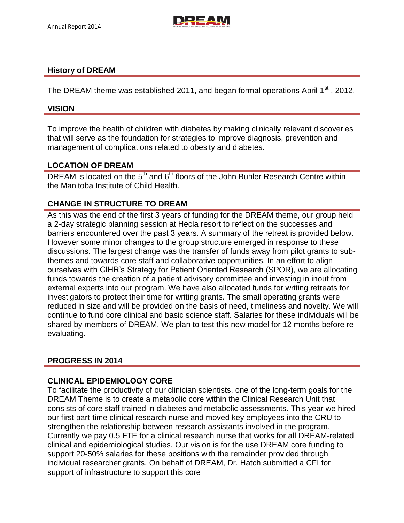

### **History of DREAM**

The DREAM theme was established 2011, and began formal operations April 1<sup>st</sup>, 2012.

### **VISION**

To improve the health of children with diabetes by making clinically relevant discoveries that will serve as the foundation for strategies to improve diagnosis, prevention and management of complications related to obesity and diabetes.

## **LOCATION OF DREAM**

DREAM is located on the 5<sup>th</sup> and 6<sup>th</sup> floors of the John Buhler Research Centre within the Manitoba Institute of Child Health.

## **CHANGE IN STRUCTURE TO DREAM**

As this was the end of the first 3 years of funding for the DREAM theme, our group held a 2-day strategic planning session at Hecla resort to reflect on the successes and barriers encountered over the past 3 years. A summary of the retreat is provided below. However some minor changes to the group structure emerged in response to these discussions. The largest change was the transfer of funds away from pilot grants to subthemes and towards core staff and collaborative opportunities. In an effort to align ourselves with CIHR's Strategy for Patient Oriented Research (SPOR), we are allocating funds towards the creation of a patient advisory committee and investing in inout from external experts into our program. We have also allocated funds for writing retreats for investigators to protect their time for writing grants. The small operating grants were reduced in size and will be provided on the basis of need, timeliness and novelty. We will continue to fund core clinical and basic science staff. Salaries for these individuals will be shared by members of DREAM. We plan to test this new model for 12 months before reevaluating.

## **PROGRESS IN 2014**

## **CLINICAL EPIDEMIOLOGY CORE**

To facilitate the productivity of our clinician scientists, one of the long-term goals for the DREAM Theme is to create a metabolic core within the Clinical Research Unit that consists of core staff trained in diabetes and metabolic assessments. This year we hired our first part-time clinical research nurse and moved key employees into the CRU to strengthen the relationship between research assistants involved in the program. Currently we pay 0.5 FTE for a clinical research nurse that works for all DREAM-related clinical and epidemiological studies. Our vision is for the use DREAM core funding to support 20-50% salaries for these positions with the remainder provided through individual researcher grants. On behalf of DREAM, Dr. Hatch submitted a CFI for support of infrastructure to support this core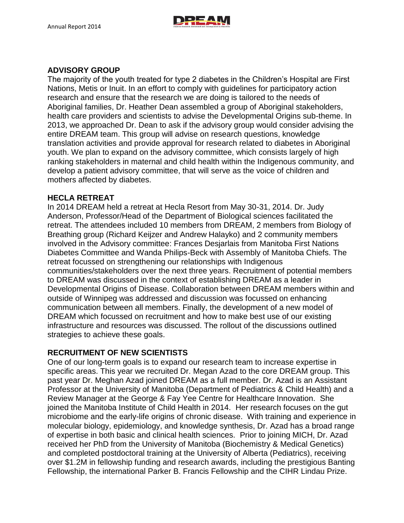

# **ADVISORY GROUP**

The majority of the youth treated for type 2 diabetes in the Children's Hospital are First Nations, Metis or Inuit. In an effort to comply with guidelines for participatory action research and ensure that the research we are doing is tailored to the needs of Aboriginal families, Dr. Heather Dean assembled a group of Aboriginal stakeholders, health care providers and scientists to advise the Developmental Origins sub-theme. In 2013, we approached Dr. Dean to ask if the advisory group would consider advising the entire DREAM team. This group will advise on research questions, knowledge translation activities and provide approval for research related to diabetes in Aboriginal youth. We plan to expand on the advisory committee, which consists largely of high ranking stakeholders in maternal and child health within the Indigenous community, and develop a patient advisory committee, that will serve as the voice of children and mothers affected by diabetes.

## **HECLA RETREAT**

In 2014 DREAM held a retreat at Hecla Resort from May 30-31, 2014. Dr. Judy Anderson, Professor/Head of the Department of Biological sciences facilitated the retreat. The attendees included 10 members from DREAM, 2 members from Biology of Breathing group (Richard Keijzer and Andrew Halayko) and 2 community members involved in the Advisory committee: Frances Desjarlais from Manitoba First Nations Diabetes Committee and Wanda Philips-Beck with Assembly of Manitoba Chiefs. The retreat focussed on strengthening our relationships with Indigenous communities/stakeholders over the next three years. Recruitment of potential members to DREAM was discussed in the context of establishing DREAM as a leader in Developmental Origins of Disease. Collaboration between DREAM members within and outside of Winnipeg was addressed and discussion was focussed on enhancing communication between all members. Finally, the development of a new model of DREAM which focussed on recruitment and how to make best use of our existing infrastructure and resources was discussed. The rollout of the discussions outlined strategies to achieve these goals.

## **RECRUITMENT OF NEW SCIENTISTS**

One of our long-term goals is to expand our research team to increase expertise in specific areas. This year we recruited Dr. Megan Azad to the core DREAM group. This past year Dr. Meghan Azad joined DREAM as a full member. Dr. Azad is an Assistant Professor at the University of Manitoba (Department of Pediatrics & Child Health) and a Review Manager at the George & Fay Yee Centre for Healthcare Innovation. She joined the Manitoba Institute of Child Health in 2014. Her research focuses on the gut microbiome and the early-life origins of chronic disease. With training and experience in molecular biology, epidemiology, and knowledge synthesis, Dr. Azad has a broad range of expertise in both basic and clinical health sciences. Prior to joining MICH, Dr. Azad received her PhD from the University of Manitoba (Biochemistry & Medical Genetics) and completed postdoctoral training at the University of Alberta (Pediatrics), receiving over \$1.2M in fellowship funding and research awards, including the prestigious Banting Fellowship, the international Parker B. Francis Fellowship and the CIHR Lindau Prize.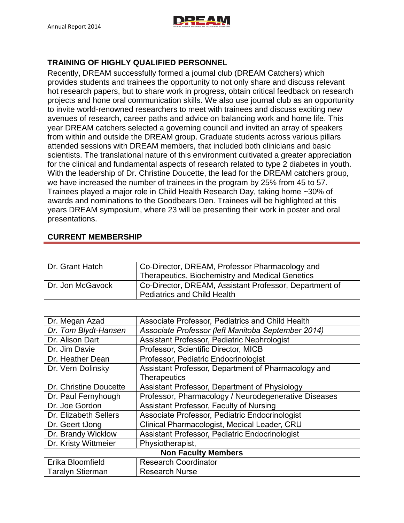

# **TRAINING OF HIGHLY QUALIFIED PERSONNEL**

Recently, DREAM successfully formed a journal club (DREAM Catchers) which provides students and trainees the opportunity to not only share and discuss relevant hot research papers, but to share work in progress, obtain critical feedback on research projects and hone oral communication skills. We also use journal club as an opportunity to invite world-renowned researchers to meet with trainees and discuss exciting new avenues of research, career paths and advice on balancing work and home life. This year DREAM catchers selected a governing council and invited an array of speakers from within and outside the DREAM group. Graduate students across various pillars attended sessions with DREAM members, that included both clinicians and basic scientists. The translational nature of this environment cultivated a greater appreciation for the clinical and fundamental aspects of research related to type 2 diabetes in youth. With the leadership of Dr. Christine Doucette, the lead for the DREAM catchers group, we have increased the number of trainees in the program by 25% from 45 to 57. Trainees played a major role in Child Health Research Day, taking home ~30% of awards and nominations to the Goodbears Den. Trainees will be highlighted at this years DREAM symposium, where 23 will be presenting their work in poster and oral presentations.

# **CURRENT MEMBERSHIP**

| Dr. Grant Hatch  | Co-Director, DREAM, Professor Pharmacology and<br><b>Therapeutics, Biochemistry and Medical Genetics</b> |
|------------------|----------------------------------------------------------------------------------------------------------|
| Dr. Jon McGavock | Co-Director, DREAM, Assistant Professor, Department of<br><b>Pediatrics and Child Health</b>             |

| Dr. Megan Azad             | Associate Professor, Pediatrics and Child Health     |  |  |
|----------------------------|------------------------------------------------------|--|--|
| Dr. Tom Blydt-Hansen       | Associate Professor (left Manitoba September 2014)   |  |  |
| Dr. Alison Dart            | Assistant Professor, Pediatric Nephrologist          |  |  |
| Dr. Jim Davie              | Professor, Scientific Director, MICB                 |  |  |
| Dr. Heather Dean           | Professor, Pediatric Endocrinologist                 |  |  |
| Dr. Vern Dolinsky          | Assistant Professor, Department of Pharmacology and  |  |  |
|                            | <b>Therapeutics</b>                                  |  |  |
| Dr. Christine Doucette     | Assistant Professor, Department of Physiology        |  |  |
| Dr. Paul Fernyhough        | Professor, Pharmacology / Neurodegenerative Diseases |  |  |
| Dr. Joe Gordon             | Assistant Professor, Faculty of Nursing              |  |  |
| Dr. Elizabeth Sellers      | Associate Professor, Pediatric Endocrinologist       |  |  |
| Dr. Geert tJong            | Clinical Pharmacologist, Medical Leader, CRU         |  |  |
| Dr. Brandy Wicklow         | Assistant Professor, Pediatric Endocrinologist       |  |  |
| Dr. Kristy Wittmeier       | Physiotherapist,                                     |  |  |
| <b>Non Faculty Members</b> |                                                      |  |  |
| Erika Bloomfield           | <b>Research Coordinator</b>                          |  |  |
| <b>Taralyn Stierman</b>    | <b>Research Nurse</b>                                |  |  |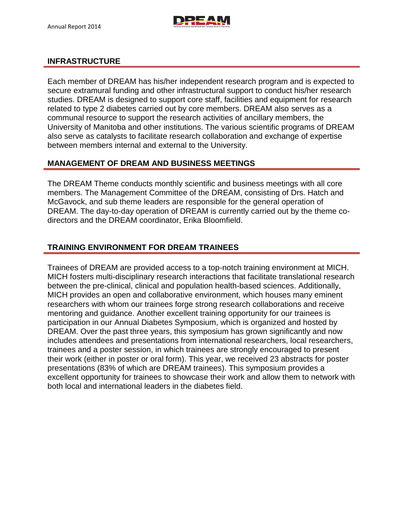

## **INFRASTRUCTURE**

Each member of DREAM has his/her independent research program and is expected to secure extramural funding and other infrastructural support to conduct his/her research studies. DREAM is designed to support core staff, facilities and equipment for research related to type 2 diabetes carried out by core members. DREAM also serves as a communal resource to support the research activities of ancillary members, the University of Manitoba and other institutions. The various scientific programs of DREAM also serve as catalysts to facilitate research collaboration and exchange of expertise between members internal and external to the University.

## **MANAGEMENT OF DREAM AND BUSINESS MEETINGS**

The DREAM Theme conducts monthly scientific and business meetings with all core members. The Management Committee of the DREAM, consisting of Drs. Hatch and McGavock, and sub theme leaders are responsible for the general operation of DREAM. The day-to-day operation of DREAM is currently carried out by the theme codirectors and the DREAM coordinator, Erika Bloomfield.

# **TRAINING ENVIRONMENT FOR DREAM TRAINEES**

Trainees of DREAM are provided access to a top-notch training environment at MICH. MICH fosters multi-disciplinary research interactions that facilitate translational research between the pre-clinical, clinical and population health-based sciences. Additionally, MICH provides an open and collaborative environment, which houses many eminent researchers with whom our trainees forge strong research collaborations and receive mentoring and guidance. Another excellent training opportunity for our trainees is participation in our Annual Diabetes Symposium, which is organized and hosted by DREAM. Over the past three years, this symposium has grown significantly and now includes attendees and presentations from international researchers, local researchers, trainees and a poster session, in which trainees are strongly encouraged to present their work (either in poster or oral form). This year, we received 23 abstracts for poster presentations (83% of which are DREAM trainees). This symposium provides a excellent opportunity for trainees to showcase their work and allow them to network with both local and international leaders in the diabetes field.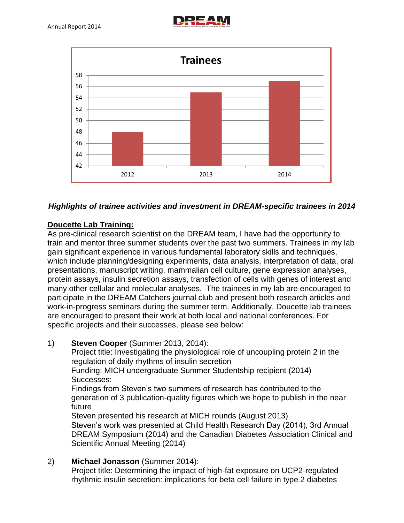



# *Highlights of trainee activities and investment in DREAM-specific trainees in 2014*

# **Doucette Lab Training:**

As pre-clinical research scientist on the DREAM team, I have had the opportunity to train and mentor three summer students over the past two summers. Trainees in my lab gain significant experience in various fundamental laboratory skills and techniques, which include planning/designing experiments, data analysis, interpretation of data, oral presentations, manuscript writing, mammalian cell culture, gene expression analyses, protein assays, insulin secretion assays, transfection of cells with genes of interest and many other cellular and molecular analyses. The trainees in my lab are encouraged to participate in the DREAM Catchers journal club and present both research articles and work-in-progress seminars during the summer term. Additionally, Doucette lab trainees are encouraged to present their work at both local and national conferences. For specific projects and their successes, please see below:

# 1) **Steven Cooper** (Summer 2013, 2014):

Project title: Investigating the physiological role of uncoupling protein 2 in the regulation of daily rhythms of insulin secretion

Funding: MICH undergraduate Summer Studentship recipient (2014) Successes:

Findings from Steven's two summers of research has contributed to the generation of 3 publication-quality figures which we hope to publish in the near future

Steven presented his research at MICH rounds (August 2013) Steven's work was presented at Child Health Research Day (2014), 3rd Annual DREAM Symposium (2014) and the Canadian Diabetes Association Clinical and Scientific Annual Meeting (2014)

2) **Michael Jonasson** (Summer 2014): Project title: Determining the impact of high-fat exposure on UCP2-regulated rhythmic insulin secretion: implications for beta cell failure in type 2 diabetes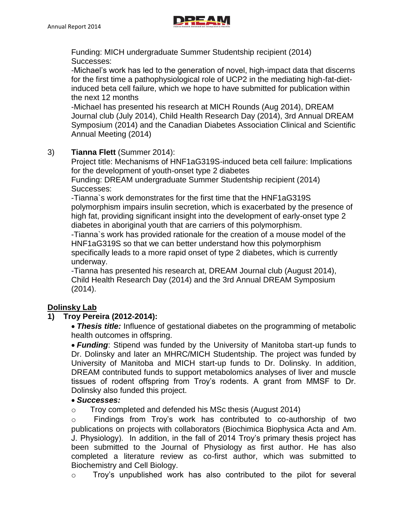

Funding: MICH undergraduate Summer Studentship recipient (2014) Successes:

-Michael's work has led to the generation of novel, high-impact data that discerns for the first time a pathophysiological role of UCP2 in the mediating high-fat-dietinduced beta cell failure, which we hope to have submitted for publication within the next 12 months

-Michael has presented his research at MICH Rounds (Aug 2014), DREAM Journal club (July 2014), Child Health Research Day (2014), 3rd Annual DREAM Symposium (2014) and the Canadian Diabetes Association Clinical and Scientific Annual Meeting (2014)

# 3) **Tianna Flett** (Summer 2014):

Project title: Mechanisms of HNF1aG319S-induced beta cell failure: Implications for the development of youth-onset type 2 diabetes

Funding: DREAM undergraduate Summer Studentship recipient (2014) Successes:

-Tianna`s work demonstrates for the first time that the HNF1aG319S polymorphism impairs insulin secretion, which is exacerbated by the presence of high fat, providing significant insight into the development of early-onset type 2 diabetes in aboriginal youth that are carriers of this polymorphism.

-Tianna`s work has provided rationale for the creation of a mouse model of the HNF1aG319S so that we can better understand how this polymorphism specifically leads to a more rapid onset of type 2 diabetes, which is currently underway.

-Tianna has presented his research at, DREAM Journal club (August 2014), Child Health Research Day (2014) and the 3rd Annual DREAM Symposium (2014).

# **Dolinsky Lab**

# **1) Troy Pereira (2012-2014):**

*Thesis title:* Influence of gestational diabetes on the programming of metabolic health outcomes in offspring.

*Funding*: Stipend was funded by the University of Manitoba start-up funds to Dr. Dolinsky and later an MHRC/MICH Studentship. The project was funded by University of Manitoba and MICH start-up funds to Dr. Dolinsky. In addition, DREAM contributed funds to support metabolomics analyses of liver and muscle tissues of rodent offspring from Troy's rodents. A grant from MMSF to Dr. Dolinsky also funded this project.

## *Successes:*

o Troy completed and defended his MSc thesis (August 2014)

o Findings from Troy's work has contributed to co-authorship of two publications on projects with collaborators (Biochimica Biophysica Acta and Am. J. Physiology). In addition, in the fall of 2014 Troy's primary thesis project has been submitted to the Journal of Physiology as first author. He has also completed a literature review as co-first author, which was submitted to Biochemistry and Cell Biology.

o Troy's unpublished work has also contributed to the pilot for several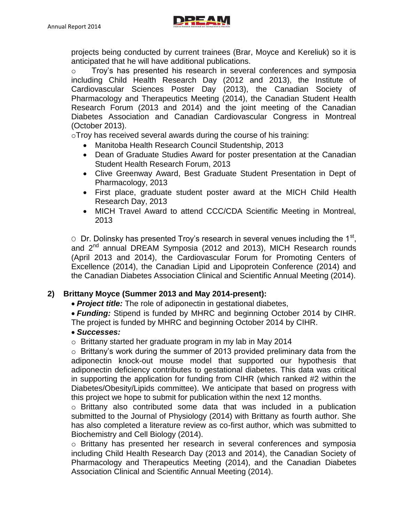

projects being conducted by current trainees (Brar, Moyce and Kereliuk) so it is anticipated that he will have additional publications.

o Troy's has presented his research in several conferences and symposia including Child Health Research Day (2012 and 2013), the Institute of Cardiovascular Sciences Poster Day (2013), the Canadian Society of Pharmacology and Therapeutics Meeting (2014), the Canadian Student Health Research Forum (2013 and 2014) and the joint meeting of the Canadian Diabetes Association and Canadian Cardiovascular Congress in Montreal (October 2013).

oTroy has received several awards during the course of his training:

- Manitoba Health Research Council Studentship, 2013
- Dean of Graduate Studies Award for poster presentation at the Canadian Student Health Research Forum, 2013
- Clive Greenway Award, Best Graduate Student Presentation in Dept of Pharmacology, 2013
- First place, graduate student poster award at the MICH Child Health Research Day, 2013
- MICH Travel Award to attend CCC/CDA Scientific Meeting in Montreal, 2013

 $\circ$  Dr. Dolinsky has presented Troy's research in several venues including the 1<sup>st</sup>, and 2<sup>nd</sup> annual DREAM Symposia (2012 and 2013), MICH Research rounds (April 2013 and 2014), the Cardiovascular Forum for Promoting Centers of Excellence (2014), the Canadian Lipid and Lipoprotein Conference (2014) and the Canadian Diabetes Association Clinical and Scientific Annual Meeting (2014).

# **2) Brittany Moyce (Summer 2013 and May 2014-present):**

- *Project title:* The role of adiponectin in gestational diabetes,
- *Funding:* Stipend is funded by MHRC and beginning October 2014 by CIHR. The project is funded by MHRC and beginning October 2014 by CIHR.

## *Successes:*

o Brittany started her graduate program in my lab in May 2014

o Brittany's work during the summer of 2013 provided preliminary data from the adiponectin knock-out mouse model that supported our hypothesis that adiponectin deficiency contributes to gestational diabetes. This data was critical in supporting the application for funding from CIHR (which ranked #2 within the Diabetes/Obesity/Lipids committee). We anticipate that based on progress with this project we hope to submit for publication within the next 12 months.

o Brittany also contributed some data that was included in a publication submitted to the Journal of Physiology (2014) with Brittany as fourth author. She has also completed a literature review as co-first author, which was submitted to Biochemistry and Cell Biology (2014).

o Brittany has presented her research in several conferences and symposia including Child Health Research Day (2013 and 2014), the Canadian Society of Pharmacology and Therapeutics Meeting (2014), and the Canadian Diabetes Association Clinical and Scientific Annual Meeting (2014).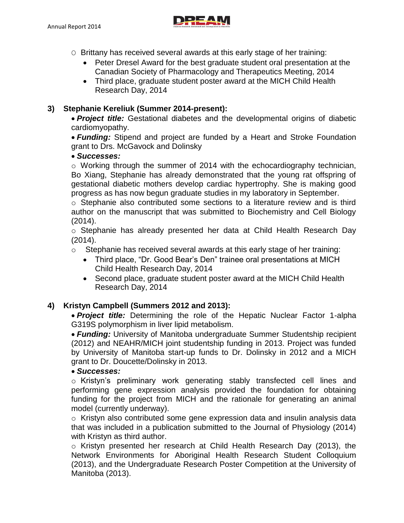

- O Brittany has received several awards at this early stage of her training:
	- Peter Dresel Award for the best graduate student oral presentation at the Canadian Society of Pharmacology and Therapeutics Meeting, 2014
	- Third place, graduate student poster award at the MICH Child Health Research Day, 2014

## **3) Stephanie Kereliuk (Summer 2014-present):**

*Project title:* Gestational diabetes and the developmental origins of diabetic cardiomyopathy.

*Funding:* Stipend and project are funded by a Heart and Stroke Foundation grant to Drs. McGavock and Dolinsky

## *Successes:*

 $\circ$  Working through the summer of 2014 with the echocardiography technician, Bo Xiang, Stephanie has already demonstrated that the young rat offspring of gestational diabetic mothers develop cardiac hypertrophy. She is making good progress as has now begun graduate studies in my laboratory in September.

o Stephanie also contributed some sections to a literature review and is third author on the manuscript that was submitted to Biochemistry and Cell Biology (2014).

o Stephanie has already presented her data at Child Health Research Day (2014).

o Stephanie has received several awards at this early stage of her training:

- Third place, "Dr. Good Bear's Den" trainee oral presentations at MICH Child Health Research Day, 2014
- Second place, graduate student poster award at the MICH Child Health Research Day, 2014

# **4) Kristyn Campbell (Summers 2012 and 2013):**

*Project title:* Determining the role of the Hepatic Nuclear Factor 1-alpha G319S polymorphism in liver lipid metabolism.

*Funding:* University of Manitoba undergraduate Summer Studentship recipient (2012) and NEAHR/MICH joint studentship funding in 2013. Project was funded by University of Manitoba start-up funds to Dr. Dolinsky in 2012 and a MICH grant to Dr. Doucette/Dolinsky in 2013.

## *Successes:*

o Kristyn's preliminary work generating stably transfected cell lines and performing gene expression analysis provided the foundation for obtaining funding for the project from MICH and the rationale for generating an animal model (currently underway).

o Kristyn also contributed some gene expression data and insulin analysis data that was included in a publication submitted to the Journal of Physiology (2014) with Kristyn as third author.

o Kristyn presented her research at Child Health Research Day (2013), the Network Environments for Aboriginal Health Research Student Colloquium (2013), and the Undergraduate Research Poster Competition at the University of Manitoba (2013).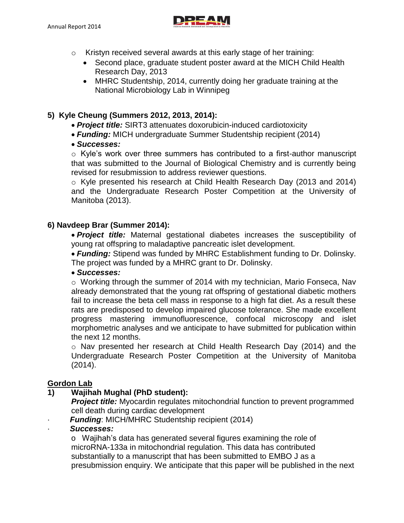

- o Kristyn received several awards at this early stage of her training:
	- Second place, graduate student poster award at the MICH Child Health Research Day, 2013
	- MHRC Studentship, 2014, currently doing her graduate training at the National Microbiology Lab in Winnipeg

## **5) Kyle Cheung (Summers 2012, 2013, 2014):**

- *Project title:* SIRT3 attenuates doxorubicin-induced cardiotoxicity
- *Funding:* MICH undergraduate Summer Studentship recipient (2014)
- *Successes:*

o Kyle's work over three summers has contributed to a first-author manuscript that was submitted to the Journal of Biological Chemistry and is currently being revised for resubmission to address reviewer questions.

o Kyle presented his research at Child Health Research Day (2013 and 2014) and the Undergraduate Research Poster Competition at the University of Manitoba (2013).

## **6) Navdeep Brar (Summer 2014):**

*Project title:* Maternal gestational diabetes increases the susceptibility of young rat offspring to maladaptive pancreatic islet development.

*Funding:* Stipend was funded by MHRC Establishment funding to Dr. Dolinsky. The project was funded by a MHRC grant to Dr. Dolinsky.

## *Successes:*

 $\circ$  Working through the summer of 2014 with my technician, Mario Fonseca, Nav already demonstrated that the young rat offspring of gestational diabetic mothers fail to increase the beta cell mass in response to a high fat diet. As a result these rats are predisposed to develop impaired glucose tolerance. She made excellent progress mastering immunofluorescence, confocal microscopy and islet morphometric analyses and we anticipate to have submitted for publication within the next 12 months.

o Nav presented her research at Child Health Research Day (2014) and the Undergraduate Research Poster Competition at the University of Manitoba (2014).

# **Gordon Lab**

## **1) Wajihah Mughal (PhD student):**

**Project title:** Myocardin regulates mitochondrial function to prevent programmed cell death during cardiac development

**Funding: MICH/MHRC Studentship recipient (2014)** 

## · *Successes:*

o Wajihah's data has generated several figures examining the role of microRNA-133a in mitochondrial regulation. This data has contributed substantially to a manuscript that has been submitted to EMBO J as a presubmission enquiry. We anticipate that this paper will be published in the next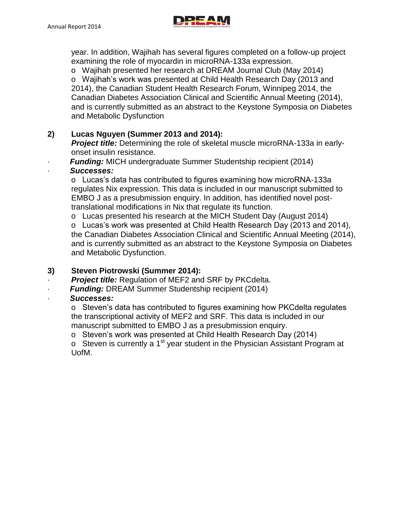

year. In addition, Wajihah has several figures completed on a follow-up project examining the role of myocardin in microRNA-133a expression.

o Wajihah presented her research at DREAM Journal Club (May 2014) o Wajihah's work was presented at Child Health Research Day (2013 and 2014), the Canadian Student Health Research Forum, Winnipeg 2014, the Canadian Diabetes Association Clinical and Scientific Annual Meeting (2014), and is currently submitted as an abstract to the Keystone Symposia on Diabetes and Metabolic Dysfunction

# **2) Lucas Nguyen (Summer 2013 and 2014):**

*Project title:* Determining the role of skeletal muscle microRNA-133a in earlyonset insulin resistance.

**Funding:** MICH undergraduate Summer Studentship recipient (2014)

# · *Successes:*

o Lucas's data has contributed to figures examining how microRNA-133a regulates Nix expression. This data is included in our manuscript submitted to EMBO J as a presubmission enquiry. In addition, has identified novel posttranslational modifications in Nix that regulate its function.

o Lucas presented his research at the MICH Student Day (August 2014)

o Lucas's work was presented at Child Health Research Day (2013 and 2014), the Canadian Diabetes Association Clinical and Scientific Annual Meeting (2014), and is currently submitted as an abstract to the Keystone Symposia on Diabetes and Metabolic Dysfunction.

# **3) Steven Piotrowski (Summer 2014):**

· *Project title:* Regulation of MEF2 and SRF by PKCdelta.

**Funding: DREAM Summer Studentship recipient (2014)** 

# · *Successes:*

o Steven's data has contributed to figures examining how PKCdelta regulates the transcriptional activity of MEF2 and SRF. This data is included in our manuscript submitted to EMBO J as a presubmission enquiry.

o Steven's work was presented at Child Health Research Day (2014)

o Steven is currently a 1<sup>st</sup> year student in the Physician Assistant Program at UofM.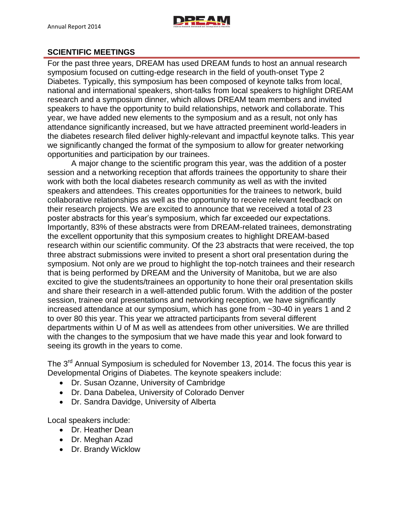# **SCIENTIFIC MEETINGS**

For the past three years, DREAM has used DREAM funds to host an annual research symposium focused on cutting-edge research in the field of youth-onset Type 2 Diabetes. Typically, this symposium has been composed of keynote talks from local, national and international speakers, short-talks from local speakers to highlight DREAM research and a symposium dinner, which allows DREAM team members and invited speakers to have the opportunity to build relationships, network and collaborate. This year, we have added new elements to the symposium and as a result, not only has attendance significantly increased, but we have attracted preeminent world-leaders in the diabetes research filed deliver highly-relevant and impactful keynote talks. This year we significantly changed the format of the symposium to allow for greater networking opportunities and participation by our trainees.

A major change to the scientific program this year, was the addition of a poster session and a networking reception that affords trainees the opportunity to share their work with both the local diabetes research community as well as with the invited speakers and attendees. This creates opportunities for the trainees to network, build collaborative relationships as well as the opportunity to receive relevant feedback on their research projects. We are excited to announce that we received a total of 23 poster abstracts for this year's symposium, which far exceeded our expectations. Importantly, 83% of these abstracts were from DREAM-related trainees, demonstrating the excellent opportunity that this symposium creates to highlight DREAM-based research within our scientific community. Of the 23 abstracts that were received, the top three abstract submissions were invited to present a short oral presentation during the symposium. Not only are we proud to highlight the top-notch trainees and their research that is being performed by DREAM and the University of Manitoba, but we are also excited to give the students/trainees an opportunity to hone their oral presentation skills and share their research in a well-attended public forum. With the addition of the poster session, trainee oral presentations and networking reception, we have significantly increased attendance at our symposium, which has gone from ~30-40 in years 1 and 2 to over 80 this year. This year we attracted participants from several different departments within U of M as well as attendees from other universities. We are thrilled with the changes to the symposium that we have made this year and look forward to seeing its growth in the years to come.

The 3<sup>rd</sup> Annual Symposium is scheduled for November 13, 2014. The focus this year is Developmental Origins of Diabetes. The keynote speakers include:

- Dr. Susan Ozanne, University of Cambridge
- Dr. Dana Dabelea, University of Colorado Denver
- Dr. Sandra Davidge, University of Alberta

Local speakers include:

- Dr. Heather Dean
- Dr. Meghan Azad
- Dr. Brandy Wicklow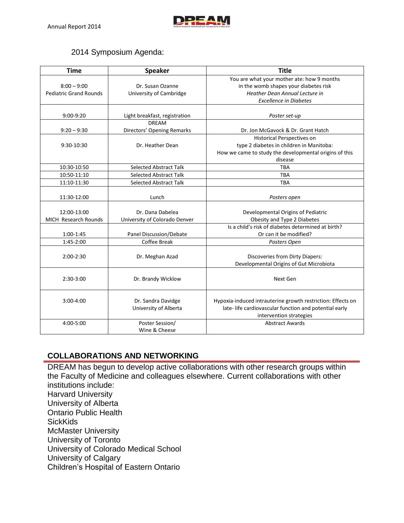

# 2014 Symposium Agenda:

| <b>Time</b>                   | <b>Speaker</b>                | <b>Title</b>                                                |
|-------------------------------|-------------------------------|-------------------------------------------------------------|
|                               |                               | You are what your mother ate: how 9 months                  |
| $8:00 - 9:00$                 | Dr. Susan Ozanne              | in the womb shapes your diabetes risk                       |
| <b>Pediatric Grand Rounds</b> | University of Cambridge       | <b>Heather Dean Annual Lecture in</b>                       |
|                               |                               | <b>Excellence in Diabetes</b>                               |
|                               |                               |                                                             |
| 9:00-9:20                     | Light breakfast, registration | Poster set-up                                               |
|                               | <b>DREAM</b>                  |                                                             |
| $9:20 - 9:30$                 | Directors' Opening Remarks    | Dr. Jon McGavock & Dr. Grant Hatch                          |
|                               |                               | Historical Perspectives on                                  |
| 9:30-10:30                    | Dr. Heather Dean              | type 2 diabetes in children in Manitoba:                    |
|                               |                               | How we came to study the developmental origins of this      |
|                               |                               | disease                                                     |
| 10:30-10:50                   | <b>Selected Abstract Talk</b> | <b>TBA</b>                                                  |
| 10:50-11:10                   | <b>Selected Abstract Talk</b> | <b>TBA</b>                                                  |
| 11:10-11:30                   | <b>Selected Abstract Talk</b> | <b>TBA</b>                                                  |
|                               |                               |                                                             |
| 11:30-12:00                   | Lunch                         | Posters open                                                |
|                               |                               |                                                             |
| 12:00-13:00                   | Dr. Dana Dabelea              | Developmental Origins of Pediatric                          |
| MICH Research Rounds          | University of Colorado Denver | Obesity and Type 2 Diabetes                                 |
|                               |                               | Is a child's risk of diabetes determined at birth?          |
| 1:00-1:45                     | Panel Discussion/Debate       | Or can it be modified?                                      |
| 1:45-2:00                     | <b>Coffee Break</b>           | Posters Open                                                |
|                               |                               |                                                             |
| $2:00-2:30$                   | Dr. Meghan Azad               | Discoveries from Dirty Diapers:                             |
|                               |                               | Developmental Origins of Gut Microbiota                     |
|                               |                               |                                                             |
| 2:30-3:00                     | Dr. Brandy Wicklow            | Next Gen                                                    |
|                               |                               |                                                             |
|                               |                               |                                                             |
| $3:00-4:00$                   | Dr. Sandra Davidge            | Hypoxia-induced intrauterine growth restriction: Effects on |
|                               | University of Alberta         | late- life cardiovascular function and potential early      |
|                               |                               | intervention strategies                                     |
| 4:00-5:00                     | Poster Session/               | <b>Abstract Awards</b>                                      |
|                               | Wine & Cheese                 |                                                             |

# **COLLABORATIONS AND NETWORKING**

DREAM has begun to develop active collaborations with other research groups within the Faculty of Medicine and colleagues elsewhere. Current collaborations with other institutions include: Harvard University University of Alberta Ontario Public Health **SickKids** McMaster University University of Toronto University of Colorado Medical School University of Calgary Children's Hospital of Eastern Ontario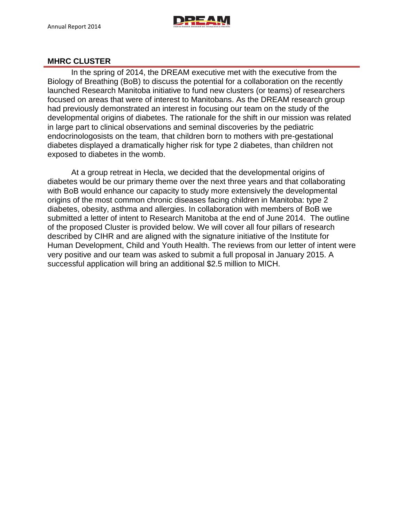

## **MHRC CLUSTER**

In the spring of 2014, the DREAM executive met with the executive from the Biology of Breathing (BoB) to discuss the potential for a collaboration on the recently launched Research Manitoba initiative to fund new clusters (or teams) of researchers focused on areas that were of interest to Manitobans. As the DREAM research group had previously demonstrated an interest in focusing our team on the study of the developmental origins of diabetes. The rationale for the shift in our mission was related in large part to clinical observations and seminal discoveries by the pediatric endocrinologosists on the team, that children born to mothers with pre-gestational diabetes displayed a dramatically higher risk for type 2 diabetes, than children not exposed to diabetes in the womb.

At a group retreat in Hecla, we decided that the developmental origins of diabetes would be our primary theme over the next three years and that collaborating with BoB would enhance our capacity to study more extensively the developmental origins of the most common chronic diseases facing children in Manitoba: type 2 diabetes, obesity, asthma and allergies. In collaboration with members of BoB we submitted a letter of intent to Research Manitoba at the end of June 2014. The outline of the proposed Cluster is provided below. We will cover all four pillars of research described by CIHR and are aligned with the signature initiative of the Institute for Human Development, Child and Youth Health. The reviews from our letter of intent were very positive and our team was asked to submit a full proposal in January 2015. A successful application will bring an additional \$2.5 million to MICH.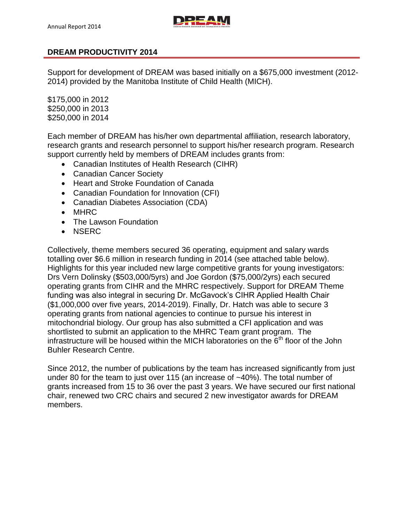

## **DREAM PRODUCTIVITY 2014**

Support for development of DREAM was based initially on a \$675,000 investment (2012- 2014) provided by the Manitoba Institute of Child Health (MICH).

\$175,000 in 2012 \$250,000 in 2013 \$250,000 in 2014

Each member of DREAM has his/her own departmental affiliation, research laboratory, research grants and research personnel to support his/her research program. Research support currently held by members of DREAM includes grants from:

- Canadian Institutes of Health Research (CIHR)
- Canadian Cancer Society
- Heart and Stroke Foundation of Canada
- Canadian Foundation for Innovation (CFI)
- Canadian Diabetes Association (CDA)
- MHRC
- The Lawson Foundation
- NSERC

Collectively, theme members secured 36 operating, equipment and salary wards totalling over \$6.6 million in research funding in 2014 (see attached table below). Highlights for this year included new large competitive grants for young investigators: Drs Vern Dolinsky (\$503,000/5yrs) and Joe Gordon (\$75,000/2yrs) each secured operating grants from CIHR and the MHRC respectively. Support for DREAM Theme funding was also integral in securing Dr. McGavock's CIHR Applied Health Chair (\$1,000,000 over five years, 2014-2019). Finally, Dr. Hatch was able to secure 3 operating grants from national agencies to continue to pursue his interest in mitochondrial biology. Our group has also submitted a CFI application and was shortlisted to submit an application to the MHRC Team grant program. The infrastructure will be housed within the MICH laboratories on the  $\tilde{6}^{th}$  floor of the John Buhler Research Centre.

Since 2012, the number of publications by the team has increased significantly from just under 80 for the team to just over 115 (an increase of ~40%). The total number of grants increased from 15 to 36 over the past 3 years. We have secured our first national chair, renewed two CRC chairs and secured 2 new investigator awards for DREAM members.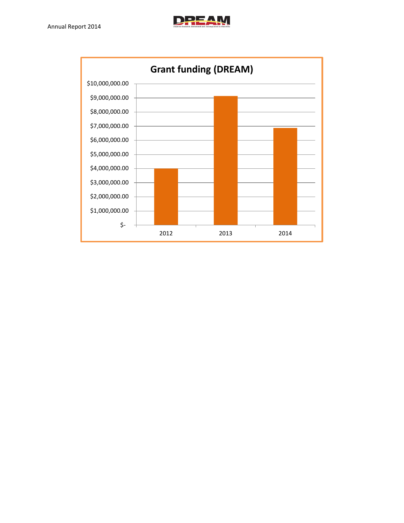

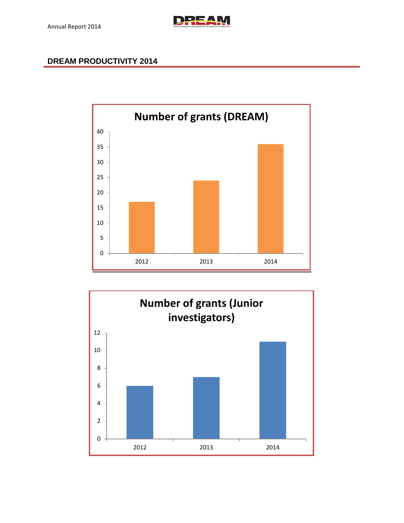

# **DREAM PRODUCTIVITY 2014**



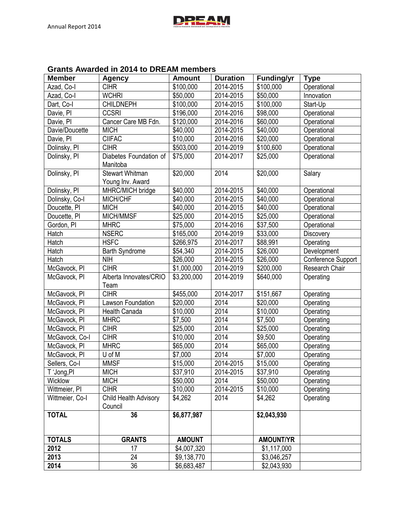# **Grants Awarded in 2014 to DREAM members**

| <b>Member</b>   | <b>Agency</b>                  | <b>Amount</b> | <b>Duration</b> | <b>Funding/yr</b> | <b>Type</b>        |
|-----------------|--------------------------------|---------------|-----------------|-------------------|--------------------|
| Azad, Co-I      | <b>CIHR</b>                    | \$100,000     | 2014-2015       | \$100,000         | Operational        |
| Azad, Co-I      | <b>WCHRI</b>                   | \$50,000      | 2014-2015       | \$50,000          | Innovation         |
| Dart, Co-I      | <b>CHILDNEPH</b>               | \$100,000     | 2014-2015       | \$100,000         | Start-Up           |
| Davie, PI       | <b>CCSRI</b>                   | \$196,000     | 2014-2016       | \$98,000          | Operational        |
| Davie, PI       | Cancer Care MB Fdn.            | \$120,000     | 2014-2016       | \$60,000          | Operational        |
| Davie/Doucette  | <b>MICH</b>                    | \$40,000      | 2014-2015       | \$40,000          | Operational        |
| Davie, PI       | <b>CIIFAC</b>                  | \$10,000      | 2014-2016       | \$20,000          | Operational        |
| Dolinsky, PI    | <b>CIHR</b>                    | \$503,000     | 2014-2019       | \$100,600         | Operational        |
| Dolinsky, PI    | Diabetes Foundation of         | \$75,000      | 2014-2017       | \$25,000          | Operational        |
|                 | Manitoba                       |               |                 |                   |                    |
| Dolinsky, PI    | <b>Stewart Whitman</b>         | \$20,000      | 2014            | \$20,000          | Salary             |
|                 | Young Inv. Award               |               |                 |                   |                    |
| Dolinsky, PI    | MHRC/MICH bridge               | \$40,000      | 2014-2015       | \$40,000          | Operational        |
| Dolinsky, Co-I  | MICH/CHF                       | \$40,000      | 2014-2015       | \$40,000          | Operational        |
| Doucette, PI    | <b>MICH</b>                    | \$40,000      | 2014-2015       | \$40,000          | Operational        |
| Doucette, PI    | MICH/MMSF                      | \$25,000      | 2014-2015       | \$25,000          | Operational        |
| Gordon, PI      | <b>MHRC</b>                    | \$75,000      | 2014-2016       | \$37,500          | Operational        |
| Hatch           | <b>NSERC</b>                   | \$165,000     | 2014-2019       | \$33,000          | Discovery          |
| Hatch           | <b>HSFC</b>                    | \$266,975     | 2014-2017       | \$88,991          | Operating          |
| Hatch           | <b>Barth Syndrome</b>          | \$54,340      | 2014-2015       | \$26,000          | Development        |
| Hatch           | <b>NIH</b>                     | \$26,000      | 2014-2015       | \$26,000          | Conference Support |
| McGavock, PI    | <b>CIHR</b>                    | \$1,000,000   | 2014-2019       | \$200,000         | Research Chair     |
| McGavock, PI    | Alberta Innovates/CRIO<br>Team | \$3,200,000   | 2014-2019       | \$640,000         | Operating          |
| McGavock, PI    | <b>CIHR</b>                    | \$455,000     | 2014-2017       | \$151,667         | Operating          |
| McGavock, PI    | Lawson Foundation              | \$20,000      | 2014            | \$20,000          | Operating          |
| McGavock, PI    | Health Canada                  | \$10,000      | 2014            | \$10,000          | Operating          |
| McGavock, PI    | <b>MHRC</b>                    | \$7,500       | 2014            | \$7,500           | Operating          |
| McGavock, PI    | <b>CIHR</b>                    | \$25,000      | 2014            | \$25,000          | Operating          |
| McGavock, Co-I  | <b>CIHR</b>                    | \$10,000      | 2014            | \$9,500           | Operating          |
| McGavock, PI    | <b>MHRC</b>                    | \$65,000      | 2014            | \$65,000          | Operating          |
| McGavock, PI    | U of M                         | \$7,000       | 2014            | \$7,000           | Operating          |
| Sellers, Co-I   | <b>MMSF</b>                    | \$15,000      | 2014-2015       | \$15,000          | Operating          |
| T 'Jong,PI      | <b>MICH</b>                    | \$37,910      | 2014-2015       | \$37,910          | Operating          |
| Wicklow         | <b>MICH</b>                    | \$50,000      | 2014            | \$50,000          | Operating          |
| Wittmeier, PI   | <b>CIHR</b>                    | \$10,000      | 2014-2015       | \$10,000          | Operating          |
| Wittmeier, Co-I | Child Health Advisory          | \$4,262       | 2014            | \$4,262           | Operating          |
|                 | Council                        |               |                 |                   |                    |
| <b>TOTAL</b>    | 36                             | \$6,877,987   |                 | \$2,043,930       |                    |
|                 |                                |               |                 |                   |                    |
| <b>TOTALS</b>   | <b>GRANTS</b>                  | <b>AMOUNT</b> |                 | <b>AMOUNT/YR</b>  |                    |
| 2012            | 17                             | \$4,007,320   |                 | \$1,117,000       |                    |
| 2013            | 24                             | \$9,138,770   |                 | \$3,046,257       |                    |
| 2014            | 36                             | \$6,683,487   |                 | \$2,043,930       |                    |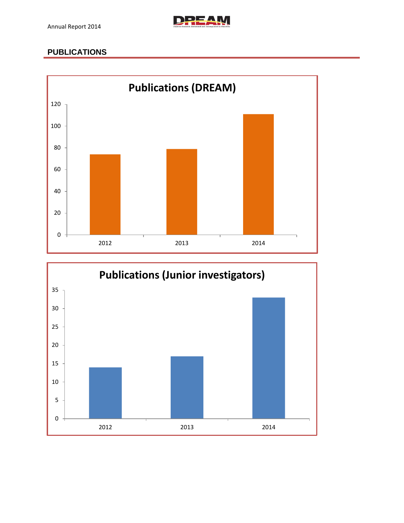

# **PUBLICATIONS**



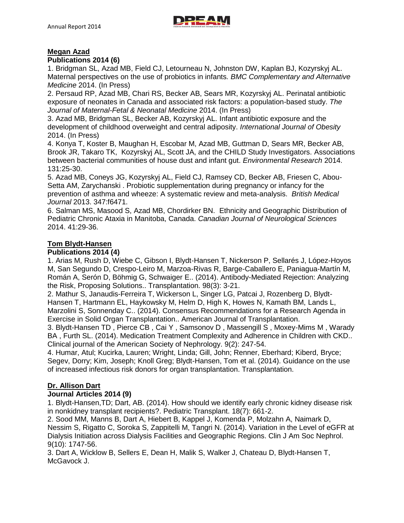

### **Megan Azad**

#### **Publications 2014 (6)**

1. Bridgman SL, Azad MB, Field CJ, Letourneau N, Johnston DW, Kaplan BJ, Kozyrskyj AL. Maternal perspectives on the use of probiotics in infants*. BMC Complementary and Alternative Medicine* 2014. (In Press)

2. Persaud RP, Azad MB, Chari RS, Becker AB, Sears MR, Kozyrskyj AL. Perinatal antibiotic exposure of neonates in Canada and associated risk factors: a population-based study. *The Journal of Maternal-Fetal & Neonatal Medicine* 2014. (In Press)

3. Azad MB, Bridgman SL, Becker AB, Kozyrskyj AL. Infant antibiotic exposure and the development of childhood overweight and central adiposity. *International Journal of Obesity*  2014. (In Press)

4. Konya T, Koster B, Maughan H, Escobar M, Azad MB, Guttman D, Sears MR, Becker AB, Brook JR, Takaro TK, Kozyrskyj AL, Scott JA, and the CHILD Study Investigators. Associations between bacterial communities of house dust and infant gut. *Environmental Research* 2014. 131:25-30.

5. Azad MB, Coneys JG, Kozyrskyj AL, Field CJ, Ramsey CD, Becker AB, Friesen C, Abou-Setta AM, Zarychanski . Probiotic supplementation during pregnancy or infancy for the prevention of asthma and wheeze: A systematic review and meta-analysis. *British Medical Journal* 2013. 347:f6471.

6. Salman MS, Masood S, Azad MB, Chordirker BN. Ethnicity and Geographic Distribution of Pediatric Chronic Ataxia in Manitoba, Canada. *Canadian Journal of Neurological Sciences* 2014. 41:29-36.

### **Tom Blydt-Hansen**

### **Publications 2014 (4)**

1. Arias M, Rush D, Wiebe C, Gibson I, Blydt-Hansen T, Nickerson P, Sellarés J, López-Hoyos M, San Segundo D, Crespo-Leiro M, Marzoa-Rivas R, Barge-Caballero E, Paniagua-Martín M, Román A, Serón D, Böhmig G, Schwaiger E.. (2014). Antibody-Mediated Rejection: Analyzing the Risk, Proposing Solutions.. Transplantation. 98(3): 3-21.

2. Mathur S, Janaudis-Ferreira T, Wickerson L, Singer LG, Patcai J, Rozenberg D, Blydt-Hansen T, Hartmann EL, Haykowsky M, Helm D, High K, Howes N, Kamath BM, Lands L, Marzolini S, Sonnenday C.. (2014). Consensus Recommendations for a Research Agenda in Exercise in Solid Organ Transplantation.. American Journal of Transplantation.

3. Blydt-Hansen TD , Pierce CB , Cai Y , Samsonov D , Massengill S , Moxey-Mims M , Warady BA , Furth SL. (2014). Medication Treatment Complexity and Adherence in Children with CKD.. Clinical journal of the American Society of Nephrology. 9(2): 247-54.

4. Humar, Atul; Kucirka, Lauren; Wright, Linda; Gill, John; Renner, Eberhard; Kiberd, Bryce; Segev, Dorry; Kim, Joseph; Knoll Greg; Blydt-Hansen, Tom et al. (2014). Guidance on the use of increased infectious risk donors for organ transplantation. Transplantation.

### **Dr. Allison Dart**

### **Journal Articles 2014 (9)**

1. Blydt-Hansen,TD; Dart, AB. (2014). How should we identify early chronic kidney disease risk in nonkidney transplant recipients?. Pediatric Transplant. 18(7): 661-2.

2. Sood MM, Manns B, Dart A, Hiebert B, Kappel J, Komenda P, Molzahn A, Naimark D, Nessim S, Rigatto C, Soroka S, Zappitelli M, Tangri N. (2014). Variation in the Level of eGFR at Dialysis Initiation across Dialysis Facilities and Geographic Regions. Clin J Am Soc Nephrol. 9(10): 1747-56.

3. Dart A, Wicklow B, Sellers E, Dean H, Malik S, Walker J, Chateau D, Blydt-Hansen T, McGavock J.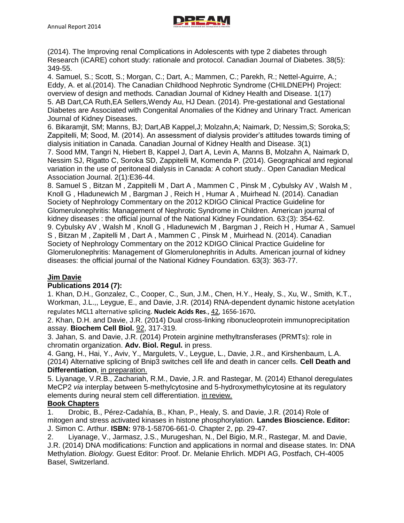

(2014). The Improving renal Complications in Adolescents with type 2 diabetes through Research (iCARE) cohort study: rationale and protocol. Canadian Journal of Diabetes. 38(5): 349-55.

4. Samuel, S.; Scott, S.; Morgan, C.; Dart, A.; Mammen, C.; Parekh, R.; Nettel-Aguirre, A.; Eddy, A. et al.(2014). The Canadian Childhood Nephrotic Syndrome (CHILDNEPH) Project: overview of design and methods. Canadian Journal of Kidney Health and Disease. 1(17) 5. AB Dart,CA Ruth,EA Sellers,Wendy Au, HJ Dean. (2014). Pre-gestational and Gestational Diabetes are Associated with Congenital Anomalies of the Kidney and Urinary Tract. American Journal of Kidney Diseases.

6. Bikaramjit, SM; Manns, BJ; Dart,AB Kappel,J; Molzahn,A; Naimark, D; Nessim,S; Soroka,S; Zappitelli, M; Sood, M. (2014). An assessment of dialysis provider's attitudes towards timing of dialysis initiation in Canada. Canadian Journal of Kidney Health and Disease. 3(1)

7. Sood MM, Tangri N, Hiebert B, Kappel J, Dart A, Levin A, Manns B, Molzahn A, Naimark D, Nessim SJ, Rigatto C, Soroka SD, Zappitelli M, Komenda P. (2014). Geographical and regional variation in the use of peritoneal dialysis in Canada: A cohort study.. Open Canadian Medical Association Journal. 2(1):E36-44.

8. Samuel S, Bitzan M, Zappitelli M, Dart A, Mammen C, Pinsk M, Cybulsky AV, Walsh M, Knoll G , Hladunewich M , Bargman J , Reich H , Humar A , Muirhead N. (2014). Canadian Society of Nephrology Commentary on the 2012 KDIGO Clinical Practice Guideline for Glomerulonephritis: Management of Nephrotic Syndrome in Children. American journal of kidney diseases : the official journal of the National Kidney Foundation. 63:(3): 354-62. 9. Cybulsky AV , Walsh M , Knoll G , Hladunewich M , Bargman J , Reich H , Humar A , Samuel S , Bitzan M , Zapitelli M , Dart A , Mammen C , Pinsk M , Muirhead N. (2014). Canadian Society of Nephrology Commentary on the 2012 KDIGO Clinical Practice Guideline for Glomerulonephritis: Management of Glomerulonephritis in Adults. American journal of kidney diseases: the official journal of the National Kidney Foundation. 63(3): 363-77.

## **Jim Davie**

## **Publications 2014 (7):**

1. Khan, D.H., Gonzalez, C., Cooper, C., Sun, J.M., Chen, H.Y., Healy, S., Xu, W., Smith, K.T., Workman, J.L.,, Leygue, E., and Davie, J.R. (2014) RNA-dependent dynamic histone acetylation regulates MCL1 alternative splicing. **Nucleic Acids Res**., 42, 1656-1670**.**

2. Khan, D.H. and Davie, J.R. (2014) Dual cross-linking ribonucleoprotein immunoprecipitation assay. **Biochem Cell Biol.** 92, 317-319.

3. Jahan, S. and Davie, J.R. (2014) Protein arginine methyltransferases (PRMTs): role in chromatin organization. **Adv. Biol. Regul.** in press.

4. Gang, H., Hai, Y., Aviv, Y., Margulets, V., Leygue, L., Davie, J.R., and Kirshenbaum, L.A. (2014) Alternative splicing of Bnip3 switches cell life and death in cancer cells. **Cell Death and Differentiation**, in preparation.

5. Liyanage, V.R.B., Zachariah, R.M., Davie, J.R. and Rastegar, M. (2014) Ethanol deregulates MeCP2 *via* interplay between 5-methylcytosine and 5-hydroxymethylcytosine at its regulatory elements during neural stem cell differentiation. in review.

## **Book Chapters**

1. Drobic, B., Pérez-Cadahía, B., Khan, P., Healy, S. and Davie, J.R. (2014) Role of mitogen and stress activated kinases in histone phosphorylation. **Landes Bioscience. Editor:**  J. Simon C. Arthur. **ISBN:** 978-1-58706-661-0. Chapter 2, pp. 29-47.

2. Liyanage, V., Jarmasz, J.S., Murugeshan, N., Del Bigio, M.R., Rastegar, M. and Davie, J.R. (2014) DNA modifications: Function and applications in normal and disease states. In: DNA Methylation. *Biology.* Guest Editor: Proof. Dr. Melanie Ehrlich. MDPI AG, Postfach, CH-4005 Basel, Switzerland.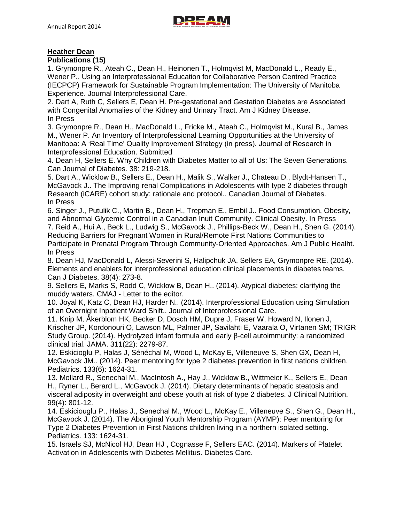## **Heather Dean**

### **Publications (15)**

1. Grymonpre R., Ateah C., Dean H., Heinonen T., Holmqvist M, MacDonald L., Ready E., Wener P.. Using an Interprofessional Education for Collaborative Person Centred Practice (IECPCP) Framework for Sustainable Program Implementation: The University of Manitoba Experience. Journal Interprofessional Care.

2. Dart A, Ruth C, Sellers E, Dean H. Pre-gestational and Gestation Diabetes are Associated with Congenital Anomalies of the Kidney and Urinary Tract. Am J Kidney Disease. In Press

3. Grymonpre R., Dean H., MacDonald L., Fricke M., Ateah C., Holmqvist M., Kural B., James M., Wener P. An Inventory of Interprofessional Learning Opportunities at the University of Manitoba: A 'Real Time' Quality Improvement Strategy (in press). Journal of Research in Interprofessional Education. Submitted

4. Dean H, Sellers E. Why Children with Diabetes Matter to all of Us: The Seven Generations. Can Journal of Diabetes. 38: 219-218.

5. Dart A., Wicklow B., Sellers E., Dean H., Malik S., Walker J., Chateau D., Blydt-Hansen T., McGavock J.. The Improving renal Complications in Adolescents with type 2 diabetes through Research (iCARE) cohort study: rationale and protocol.. Canadian Journal of Diabetes. In Press

6. Singer J., Putulik C., Martin B., Dean H., Trepman E., Embil J.. Food Consumption, Obesity, and Abnormal Glycemic Control in a Canadian Inuit Community. Clinical Obesity. In Press 7. Reid A., Hui A., Beck L., Ludwig S., McGavock J., Phillips-Beck W., Dean H., Shen G. (2014). Reducing Barriers for Pregnant Women in Rural/Remote First Nations Communities to Participate in Prenatal Program Through Community-Oriented Approaches. Am J Public Healht. In Press

8. Dean HJ, MacDonald L, Alessi-Severini S, Halipchuk JA, Sellers EA, Grymonpre RE. (2014). Elements and enablers for interprofessional education clinical placements in diabetes teams. Can J Diabetes. 38(4): 273-8.

9. Sellers E, Marks S, Rodd C, Wicklow B, Dean H.. (2014). Atypical diabetes: clarifying the muddy waters. CMAJ - Letter to the editor.

10. Joyal K, Katz C, Dean HJ, Harder N.. (2014). Interprofessional Education using Simulation of an Overnight Inpatient Ward Shift.. Journal of Interprofessional Care.

11. Knip M, Åkerblom HK, Becker D, Dosch HM, Dupre J, Fraser W, Howard N, Ilonen J, Krischer JP, Kordonouri O, Lawson ML, Palmer JP, Savilahti E, Vaarala O, Virtanen SM; TRIGR Study Group. (2014). Hydrolyzed infant formula and early β-cell autoimmunity: a randomized clinical trial. JAMA. 311(22): 2279-87.

12. Eskicioglu P, Halas J, Sénéchal M, Wood L, McKay E, Villeneuve S, Shen GX, Dean H, McGavock JM.. (2014). Peer mentoring for type 2 diabetes prevention in first nations children. Pediatrics. 133(6): 1624-31.

13. Mollard R., Senechal M., MacIntosh A., Hay J., Wicklow B., Wittmeier K., Sellers E., Dean H., Ryner L., Berard L., McGavock J. (2014). Dietary determinants of hepatic steatosis and visceral adiposity in overweight and obese youth at risk of type 2 diabetes. J Clinical Nutrition. 99(4): 801-12.

14. Eskiciouglu P., Halas J., Senechal M., Wood L., McKay E., Villeneuve S., Shen G., Dean H., McGavock J. (2014). The Aboriginal Youth Mentorship Program (AYMP): Peer mentoring for Type 2 Diabetes Prevention in First Nations children living in a northern isolated setting. Pediatrics. 133: 1624-31.

15. Israels SJ, McNicol HJ, Dean HJ , Cognasse F, Sellers EAC. (2014). Markers of Platelet Activation in Adolescents with Diabetes Mellitus. Diabetes Care.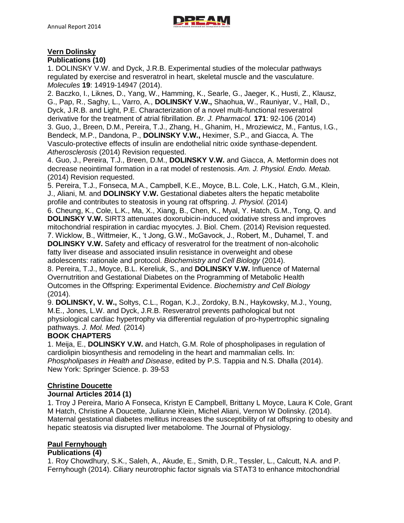

## **Vern Dolinsky**

**Publications (10)**

1. DOLINSKY V.W. and Dyck, J.R.B. Experimental studies of the molecular pathways regulated by exercise and resveratrol in heart, skeletal muscle and the vasculature. *Molecules* **19**: 14919-14947 (2014).

2. Baczko, I., Liknes, D., Yang, W., Hamming, K., Searle, G., Jaeger, K., Husti, Z., Klausz, G., Pap, R., Saghy, L., Varro, A., **DOLINSKY V.W.,** Shaohua, W., Rauniyar, V., Hall, D., Dyck, J.R.B. and Light, P.E. Characterization of a novel multi-functional resveratrol derivative for the treatment of atrial fibrillation. *Br. J. Pharmacol.* **171**: 92-106 (2014) 3. Guo, J., Breen, D.M., Pereira, T.J., Zhang, H., Ghanim, H., Mroziewicz, M., Fantus, I.G., Bendeck, M.P., Dandona, P., **DOLINSKY V.W.,** Heximer, S.P., and Giacca, A. The Vasculo-protective effects of insulin are endothelial nitric oxide synthase-dependent. *Atherosclerosis* (2014) Revision requested.

4. Guo, J., Pereira, T.J., Breen, D.M., **DOLINSKY V.W.** and Giacca, A. Metformin does not decrease neointimal formation in a rat model of restenosis. *Am. J. Physiol. Endo. Metab.* (2014) Revision requested.

5. Pereira, T.J., Fonseca, M.A., Campbell, K.E., Moyce, B.L. Cole, L.K., Hatch, G.M., Klein, J., Aliani, M. and **DOLINSKY V.W.** Gestational diabetes alters the hepatic metabolite profile and contributes to steatosis in young rat offspring. *J. Physiol.* (2014)

6. Cheung, K., Cole, L.K., Ma, X., Xiang, B., Chen, K., Myal, Y. Hatch, G.M., Tong, Q. and **DOLINSKY V.W.** SIRT3 attenuates doxorubicin-induced oxidative stress and improves mitochondrial respiration in cardiac myocytes. J. Biol. Chem. (2014) Revision requested. 7. Wicklow, B., Wittmeier, K., 't Jong, G.W., McGavock, J., Robert, M., Duhamel, T. and **DOLINSKY V.W.** Safety and efficacy of resveratrol for the treatment of non-alcoholic fatty liver disease and associated insulin resistance in overweight and obese adolescents: rationale and protocol. *Biochemistry and Cell Biology* (2014).

8. Pereira, T.J., Moyce, B.L. Kereliuk, S., and **DOLINSKY V.W.** Influence of Maternal Overnutrition and Gestational Diabetes on the Programming of Metabolic Health Outcomes in the Offspring: Experimental Evidence. *Biochemistry and Cell Biology* (2014).

9. **DOLINSKY, V. W.,** Soltys, C.L., Rogan, K.J., Zordoky, B.N., Haykowsky, M.J., Young, M.E., Jones, L.W. and Dyck, J.R.B. Resveratrol prevents pathological but not physiological cardiac hypertrophy via differential regulation of pro-hypertrophic signaling pathways. *J. Mol. Med.* (2014)

## **BOOK CHAPTERS**

1. Meija, E., **DOLINSKY V.W.** and Hatch, G.M. Role of phospholipases in regulation of cardiolipin biosynthesis and remodeling in the heart and mammalian cells. In: *Phospholipases in Health and Disease*, edited by P.S. Tappia and N.S. Dhalla (2014). New York: Springer Science. p. 39-53

### **Christine Doucette**

### **Journal Articles 2014 (1)**

1. Troy J Pereira, Mario A Fonseca, Kristyn E Campbell, Brittany L Moyce, Laura K Cole, Grant M Hatch, Christine A Doucette, Julianne Klein, Michel Aliani, Vernon W Dolinsky. (2014). Maternal gestational diabetes mellitus increases the susceptibility of rat offspring to obesity and hepatic steatosis via disrupted liver metabolome. The Journal of Physiology.

## **Paul Fernyhough**

### **Publications (4)**

1. Roy Chowdhury, S.K., Saleh, A., Akude, E., Smith, D.R., Tessler, L., Calcutt, N.A. and P. Fernyhough (2014). Ciliary neurotrophic factor signals via STAT3 to enhance mitochondrial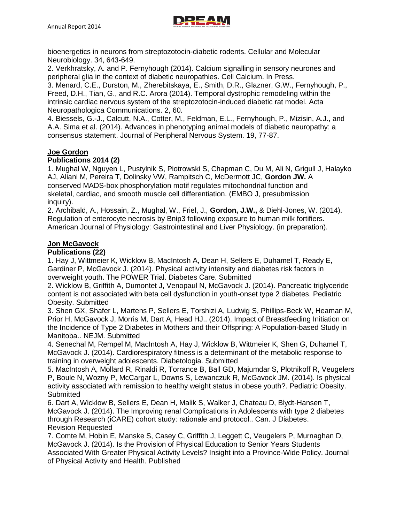

bioenergetics in neurons from streptozotocin-diabetic rodents. Cellular and Molecular Neurobiology. 34, 643-649.

2. Verkhratsky, A. and P. Fernyhough (2014). Calcium signalling in sensory neurones and peripheral glia in the context of diabetic neuropathies. Cell Calcium. In Press.

3. Menard, C.E., Durston, M., Zherebitskaya, E., Smith, D.R., Glazner, G.W., Fernyhough, P., Freed, D.H., Tian, G., and R.C. Arora (2014). Temporal dystrophic remodeling within the intrinsic cardiac nervous system of the streptozotocin-induced diabetic rat model. Acta Neuropathologica Communications. 2, 60.

4. Biessels, G.-J., Calcutt, N.A., Cotter, M., Feldman, E.L., Fernyhough, P., Mizisin, A.J., and A.A. Sima et al. (2014). Advances in phenotyping animal models of diabetic neuropathy: a consensus statement. Journal of Peripheral Nervous System. 19, 77-87.

### **Joe Gordon**

## **Publications 2014 (2)**

1. Mughal W, Nguyen L, Pustylnik S, Piotrowski S, Chapman C, Du M, Ali N, Grigull J, Halayko AJ, Aliani M, Pereira T, Dolinsky VW, Rampitsch C, McDermott JC, **Gordon JW.** A conserved MADS-box phosphorylation motif regulates mitochondrial function and skeletal, cardiac, and smooth muscle cell differentiation. (EMBO J, presubmission inquiry).

2. Archibald, A., Hossain, Z., Mughal, W., Friel, J., **Gordon, J.W.,** & Diehl-Jones, W. (2014). Regulation of enterocyte necrosis by Bnip3 following exposure to human milk fortifiers. American Journal of Physiology: Gastrointestinal and Liver Physiology. (in preparation).

### **Jon McGavock**

#### **Publications (22)**

1. Hay J, Wittmeier K, Wicklow B, MacIntosh A, Dean H, Sellers E, Duhamel T, Ready E, Gardiner P, McGavock J. (2014). Physical activity intensity and diabetes risk factors in overweight youth. The POWER Trial. Diabetes Care. Submitted

2. Wicklow B, Griffith A, Dumontet J, Venopaul N, McGavock J. (2014). Pancreatic triglyceride content is not associated with beta cell dysfunction in youth-onset type 2 diabetes. Pediatric Obesity. Submitted

3. Shen GX, Shafer L, Martens P, Sellers E, Torshizi A, Ludwig S, Phillips-Beck W, Heaman M, Prior H, McGavock J, Morris M, Dart A, Head HJ.. (2014). Impact of Breastfeeding Initiation on the Incidence of Type 2 Diabetes in Mothers and their Offspring: A Population-based Study in Manitoba.. NEJM. Submitted

4. Senechal M, Rempel M, MacIntosh A, Hay J, Wicklow B, Wittmeier K, Shen G, Duhamel T, McGavock J. (2014). Cardiorespiratory fitness is a determinant of the metabolic response to training in overweight adolescents. Diabetologia. Submitted

5. MacIntosh A, Mollard R, Rinaldi R, Torrance B, Ball GD, Majumdar S, Plotnikoff R, Veugelers P, Boule N, Wozny P, McCargar L, Downs S, Lewanczuk R, McGavock JM. (2014). Is physical activity associated with remission to healthy weight status in obese youth?. Pediatric Obesity. **Submitted** 

6. Dart A, Wicklow B, Sellers E, Dean H, Malik S, Walker J, Chateau D, Blydt-Hansen T, McGavock J. (2014). The Improving renal Complications in Adolescents with type 2 diabetes through Research (iCARE) cohort study: rationale and protocol.. Can. J Diabetes. Revision Requested

7. Comte M, Hobin E, Manske S, Casey C, Griffith J, Leggett C, Veugelers P, Murnaghan D, McGavock J. (2014). Is the Provision of Physical Education to Senior Years Students Associated With Greater Physical Activity Levels? Insight into a Province-Wide Policy. Journal of Physical Activity and Health. Published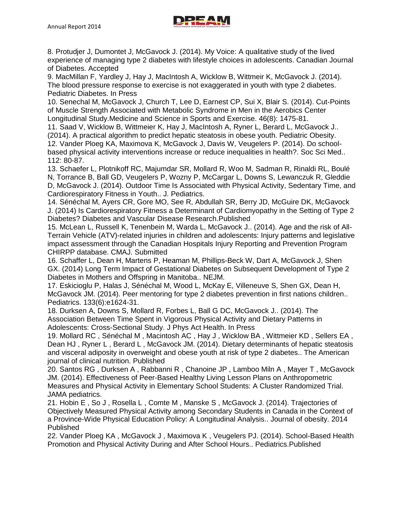

8. Protudjer J, Dumontet J, McGavock J. (2014). My Voice: A qualitative study of the lived experience of managing type 2 diabetes with lifestyle choices in adolescents. Canadian Journal of Diabetes. Accepted

9. MacMillan F, Yardley J, Hay J, MacIntosh A, Wicklow B, Wittmeir K, McGavock J. (2014). The blood pressure response to exercise is not exaggerated in youth with type 2 diabetes. Pediatric Diabetes. In Press

10. Senechal M, McGavock J, Church T, Lee D, Earnest CP, Sui X, Blair S. (2014). Cut-Points of Muscle Strength Associated with Metabolic Syndrome in Men in the Aerobics Center Longitudinal Study.Medicine and Science in Sports and Exercise. 46(8): 1475-81.

11. Saad V, Wicklow B, Wittmeier K, Hay J, MacIntosh A, Ryner L, Berard L, McGavock J.. (2014). A practical algorithm to predict hepatic steatosis in obese youth. Pediatric Obesity. 12. Vander Ploeg KA, Maximova K, McGavock J, Davis W, Veugelers P. (2014). Do schoolbased physical activity interventions increase or reduce inequalities in health?. Soc Sci Med.. 112: 80-87.

13. Schaefer L, Plotnikoff RC, Majumdar SR, Mollard R, Woo M, Sadman R, Rinaldi RL, Boulé N, Torrance B, Ball GD, Veugelers P, Wozny P, McCargar L, Downs S, Lewanczuk R, Gleddie D, McGavock J. (2014). Outdoor Time Is Associated with Physical Activity, Sedentary Time, and Cardiorespiratory Fitness in Youth.. J. Pediatrics.

14. Sénéchal M, Ayers CR, Gore MO, See R, Abdullah SR, Berry JD, McGuire DK, McGavock J. (2014) Is Cardiorespiratory Fitness a Determinant of Cardiomyopathy in the Setting of Type 2 Diabetes? Diabetes and Vascular Disease Research.Published

15. McLean L, Russell K, Tenenbein M, Warda L, McGavock J.. (2014). Age and the risk of All-Terrain Vehicle (ATV)-related injuries in children and adolescents: Injury patterns and legislative impact assessment through the Canadian Hospitals Injury Reporting and Prevention Program CHIRPP database. CMAJ. Submitted

16. Schaffer L, Dean H, Martens P, Heaman M, Phillips-Beck W, Dart A, McGavock J, Shen GX. (2014) Long Term Impact of Gestational Diabetes on Subsequent Development of Type 2 Diabetes in Mothers and Offspring in Manitoba.. NEJM.

17. Eskicioglu P, Halas J, Sénéchal M, Wood L, McKay E, Villeneuve S, Shen GX, Dean H, McGavock JM. (2014). Peer mentoring for type 2 diabetes prevention in first nations children.. Pediatrics. 133(6):e1624-31.

18. Durksen A, Downs S, Mollard R, Forbes L, Ball G DC, McGavock J.. (2014). The Association Between Time Spent in Vigorous Physical Activity and Dietary Patterns in Adolescents: Cross-Sectional Study. J Phys Act Health. In Press

19. Mollard RC , Sénéchal M , Macintosh AC , Hay J , Wicklow BA , Wittmeier KD , Sellers EA , Dean HJ , Ryner L , Berard L , McGavock JM. (2014). Dietary determinants of hepatic steatosis and visceral adiposity in overweight and obese youth at risk of type 2 diabetes.. The American journal of clinical nutrition. Published

20. Santos RG , Durksen A , Rabbanni R , Chanoine JP , Lamboo Miln A , Mayer T , McGavock JM. (2014). Effectiveness of Peer-Based Healthy Living Lesson Plans on Anthropometric Measures and Physical Activity in Elementary School Students: A Cluster Randomized Trial. JAMA pediatrics.

21. Hobin E , So J , Rosella L , Comte M , Manske S , McGavock J. (2014). Trajectories of Objectively Measured Physical Activity among Secondary Students in Canada in the Context of a Province-Wide Physical Education Policy: A Longitudinal Analysis.. Journal of obesity. 2014 Published

22. Vander Ploeg KA , McGavock J , Maximova K , Veugelers PJ. (2014). School-Based Health Promotion and Physical Activity During and After School Hours.. Pediatrics.Published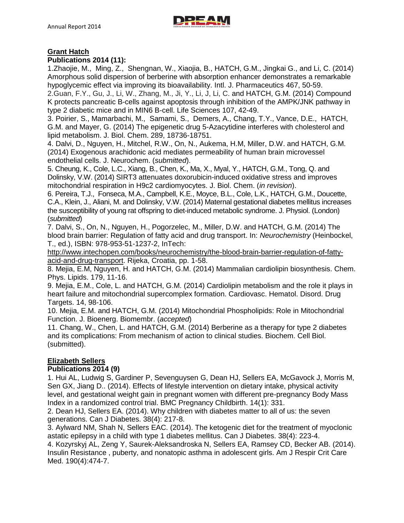

## **Grant Hatch**

### **Publications 2014 (11):**

1.Zhaojie, M., Ming, Z., Shengnan, W., Xiaojia, B., HATCH, G.M., Jingkai G., and Li, C. (2014) Amorphous solid dispersion of berberine with absorption enhancer demonstrates a remarkable hypoglycemic effect via improving its bioavailability. Intl. J. Pharmaceutics 467, 50-59.

2.Guan, F.Y., Gu, J., Li, W., Zhang, M., Ji, Y., Li, J, Li, C. and HATCH, G.M. (2014) Compound K protects pancreatic B-cells against apoptosis through inhibition of the AMPK/JNK pathway in type 2 diabetic mice and in MIN6 B-cell. Life Sciences 107, 42-49.

3. Poirier, S., Mamarbachi, M., Samami, S., Demers, A., Chang, T.Y., Vance, D.E., HATCH, G.M. and Mayer, G. (2014) The epigenetic drug 5-Azacytidine interferes with cholesterol and lipid metabolism. J. Biol. Chem. 289, 18736-18751.

4. Dalvi, D., Nguyen, H., Mitchel, R.W., On, N., Aukema, H.M, Miller, D.W. and HATCH, G.M. (2014) Exogenous arachidonic acid mediates permeability of human brain microvessel endothelial cells. J. Neurochem. (*submitted*).

5. Cheung, K., Cole, L.C., Xiang, B., Chen, K., Ma, X., Myal, Y., HATCH, G.M., Tong, Q. and Dolinsky, V.W. (2014) SIRT3 attenuates doxorubicin-induced oxidative stress and improves mitochondrial respiration in H9c2 cardiomyocytes. J. Biol. Chem. (*in revision*).

6. Pereira, T.J., Fonseca, M.A., Campbell, K.E., Moyce, B.L., Cole, L.K., HATCH, G.M., Doucette, C.A., Klein, J., Aliani, M. and Dolinsky, V.W. (2014) Maternal gestational diabetes mellitus increases the susceptibility of young rat offspring to diet-induced metabolic syndrome. J. Physiol. (London) (*submitted*)

7. Dalvi, S., On, N., Nguyen, H., Pogorzelec, M., Miller, D.W. and HATCH, G.M. (2014) The blood brain barrier: Regulation of fatty acid and drug transport. In: *Neurochemistry* (Heinbockel, T., ed.), ISBN: 978-953-51-1237-2, InTech:

[http://www.intechopen.com/books/neurochemistry/the-blood-brain-barrier-regulation-of-fatty](http://www.intechopen.com/books/neurochemistry/the-blood-brain-barrier-regulation-of-fatty-acid-and-drug-transport)[acid-and-drug-transport.](http://www.intechopen.com/books/neurochemistry/the-blood-brain-barrier-regulation-of-fatty-acid-and-drug-transport) Rijeka, Croatia, pp. 1-58.

8. Mejia, E.M, Nguyen, H. and HATCH, G.M. (2014) Mammalian cardiolipin biosynthesis. Chem. Phys. Lipids. 179, 11-16.

9. Mejia, E.M., Cole, L. and HATCH, G.M. (2014) Cardiolipin metabolism and the role it plays in heart failure and mitochondrial supercomplex formation. Cardiovasc. Hematol. Disord. Drug Targets. 14, 98-106.

10. Mejia, E.M. and HATCH, G.M. (2014) Mitochondrial Phospholipids: Role in Mitochondrial Function. J. Bioenerg. Biomembr. (*accepted*)

11. Chang, W., Chen, L. and HATCH, G.M. (2014) Berberine as a therapy for type 2 diabetes and its complications: From mechanism of action to clinical studies. Biochem. Cell Biol. (submitted).

# **Elizabeth Sellers**

### **Publications 2014 (9)**

1. Hui AL, Ludwig S, Gardiner P, Sevenguysen G, Dean HJ, Sellers EA, McGavock J, Morris M, Sen GX, Jiang D.. (2014). Effects of lifestyle intervention on dietary intake, physical activity level, and gestational weight gain in pregnant women with different pre-pregnancy Body Mass Index in a randomized control trial. BMC Pregnancy Childbirth. 14(1): 331.

2. Dean HJ, Sellers EA. (2014). Why children with diabetes matter to all of us: the seven generations. Can J Diabetes. 38(4): 217-8.

3. Aylward NM, Shah N, Sellers EAC. (2014). The ketogenic diet for the treatment of myoclonic astatic epilepsy in a child with type 1 diabetes mellitus. Can J Diabetes. 38(4): 223-4.

4. Kozyrskyj AL, Zeng Y, Saurek-Aleksandroska N, Sellers EA, Ramsey CD, Becker AB. (2014). Insulin Resistance , puberty, and nonatopic asthma in adolescent girls. Am J Respir Crit Care Med. 190(4):474-7.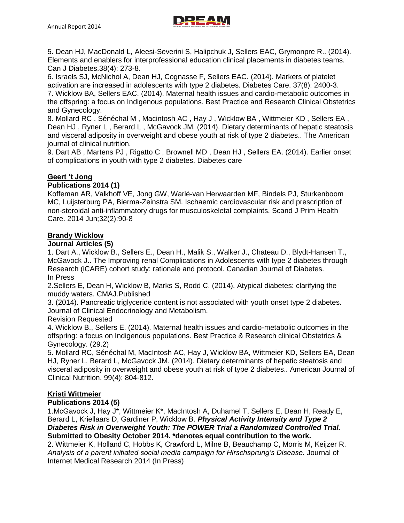

5. Dean HJ, MacDonald L, Aleesi-Severini S, Halipchuk J, Sellers EAC, Grymonpre R.. (2014). Elements and enablers for interprofessional education clinical placements in diabetes teams. Can J Diabetes.38(4): 273-8.

6. Israels SJ, McNichol A, Dean HJ, Cognasse F, Sellers EAC. (2014). Markers of platelet activation are increased in adolescents with type 2 diabetes. Diabetes Care. 37(8): 2400-3. 7. Wicklow BA, Sellers EAC. (2014). Maternal health issues and cardio-metabolic outcomes in the offspring: a focus on Indigenous populations. Best Practice and Research Clinical Obstetrics and Gynecology.

8. Mollard RC , Sénéchal M , Macintosh AC , Hay J , Wicklow BA , Wittmeier KD , Sellers EA , Dean HJ , Ryner L , Berard L , McGavock JM. (2014). Dietary determinants of hepatic steatosis and visceral adiposity in overweight and obese youth at risk of type 2 diabetes.. The American journal of clinical nutrition.

9. Dart AB , Martens PJ , Rigatto C , Brownell MD , Dean HJ , Sellers EA. (2014). Earlier onset of complications in youth with type 2 diabetes. Diabetes care

# **Geert 't Jong**

### **Publications 2014 (1)**

Koffeman AR, Valkhoff VE, Jong GW, Warlé-van Herwaarden MF, Bindels PJ, Sturkenboom MC, Luijsterburg PA, Bierma-Zeinstra SM. Ischaemic cardiovascular risk and prescription of non-steroidal anti-inflammatory drugs for musculoskeletal complaints. Scand J Prim Health Care. 2014 Jun;32(2):90-8

### **Brandy Wicklow**

### **Journal Articles (5)**

1. Dart A., Wicklow B., Sellers E., Dean H., Malik S., Walker J., Chateau D., Blydt-Hansen T., McGavock J.. The Improving renal Complications in Adolescents with type 2 diabetes through Research (iCARE) cohort study: rationale and protocol. Canadian Journal of Diabetes. In Press

2.Sellers E, Dean H, Wicklow B, Marks S, Rodd C. (2014). Atypical diabetes: clarifying the muddy waters. CMAJ.Published

3. (2014). Pancreatic triglyceride content is not associated with youth onset type 2 diabetes. Journal of Clinical Endocrinology and Metabolism.

### Revision Requested

4. Wicklow B., Sellers E. (2014). Maternal health issues and cardio-metabolic outcomes in the offspring: a focus on Indigenous populations. Best Practice & Research clinical Obstetrics & Gynecology. (29.2)

5. Mollard RC, Sénéchal M, MacIntosh AC, Hay J, Wicklow BA, Wittmeier KD, Sellers EA, Dean HJ, Ryner L, Berard L, McGavock JM. (2014). Dietary determinants of hepatic steatosis and visceral adiposity in overweight and obese youth at risk of type 2 diabetes.. American Journal of Clinical Nutrition. 99(4): 804-812.

## **Kristi Wittmeier**

### **Publications 2014 (5)**

1.McGavock J, Hay J\*, Wittmeier K\*, MacIntosh A, Duhamel T, Sellers E, Dean H, Ready E, Berard L, Kriellaars D, Gardiner P, Wicklow B. *Physical Activity Intensity and Type 2 Diabetes Risk in Overweight Youth: The POWER Trial a Randomized Controlled Trial.* **Submitted to Obesity October 2014. \*denotes equal contribution to the work.** 2. Wittmeier K, Holland C, Hobbs K, Crawford L, Milne B, Beauchamp C, Morris M, Keijzer R. *Analysis of a parent initiated social media campaign for Hirschsprung's Disease.* Journal of

Internet Medical Research 2014 (In Press)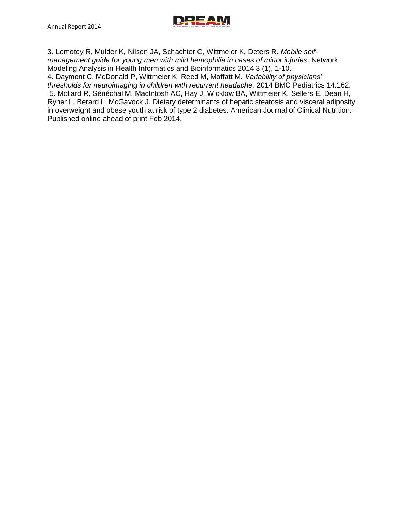

3. Lomotey R, Mulder K, Nilson JA, Schachter C, Wittmeier K, Deters R. *Mobile selfmanagement guide for young men with mild hemophilia in cases of minor injuries.* Network Modeling Analysis in Health Informatics and Bioinformatics 2014 3 (1), 1-10. 4. Daymont C, McDonald P, Wittmeier K, Reed M, Moffatt M. *Variability of physicians' thresholds for neuroimaging in children with recurrent headache.* 2014 BMC Pediatrics 14:162. 5. Mollard R, Sénéchal M, MacIntosh AC, Hay J, Wicklow BA, Wittmeier K, Sellers E, Dean H, Ryner L, Berard L, McGavock J. Dietary determinants of hepatic steatosis and visceral adiposity in overweight and obese youth at risk of type 2 diabetes. American Journal of Clinical Nutrition. Published online ahead of print Feb 2014.